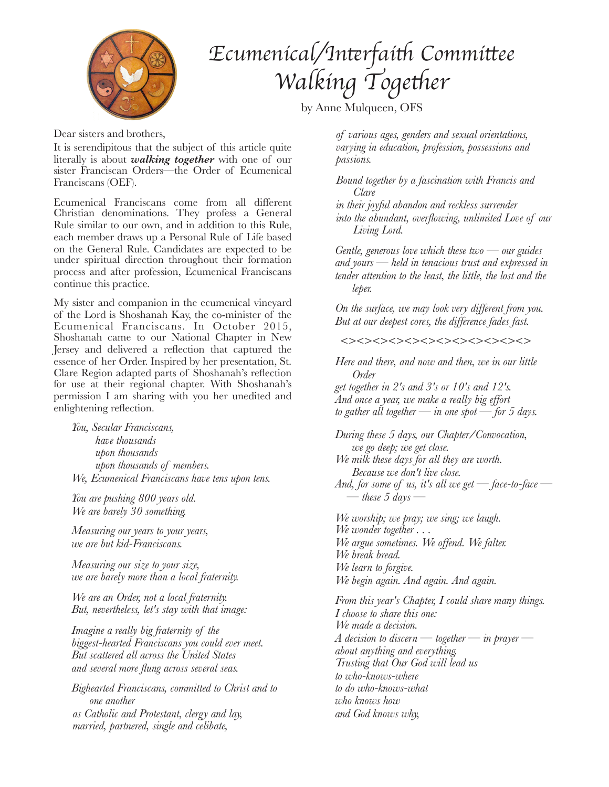

## *Ecumenical/In*t*rfai*t *Commi*t*ee Walking* Together

by Anne Mulqueen, OFS

Dear sisters and brothers,

It is serendipitous that the subject of this article quite literally is about *walking together* with one of our sister Franciscan Orders—the Order of Ecumenical Franciscans (OEF).

Ecumenical Franciscans come from all different Christian denominations. They profess a General Rule similar to our own, and in addition to this Rule, each member draws up a Personal Rule of Life based on the General Rule. Candidates are expected to be under spiritual direction throughout their formation process and after profession, Ecumenical Franciscans continue this practice.

My sister and companion in the ecumenical vineyard of the Lord is Shoshanah Kay, the co-minister of the Ecumenical Franciscans. In October 2015, Shoshanah came to our National Chapter in New Jersey and delivered a reflection that captured the essence of her Order. Inspired by her presentation, St. Clare Region adapted parts of Shoshanah's reflection for use at their regional chapter. With Shoshanah's permission I am sharing with you her unedited and enlightening reflection.

*You, Secular Franciscans, have thousands upon thousands upon thousands of members. We, Ecumenical Franciscans have tens upon tens.* 

*You are pushing 800 years old. We are barely 30 something.* 

*Measuring our years to your years, we are but kid-Franciscans.* 

*Measuring our size to your size, we are barely more than a local fraternity.* 

*We are an Order, not a local fraternity. But, nevertheless, let's stay with that image:* 

*Imagine a really big fraternity of the biggest-hearted Franciscans you could ever meet. But scattered all across the United States and several more flung across several seas.* 

*Bighearted Franciscans, committed to Christ and to one another as Catholic and Protestant, clergy and lay, married, partnered, single and celibate,*

*of various ages, genders and sexual orientations, varying in education, profession, possessions and passions.* 

*Bound together by a fascination with Francis and Clare* 

*in their joyful abandon and reckless surrender into the abundant, overflowing, unlimited Love of our Living Lord.* 

*Gentle, generous love which these two — our guides and yours — held in tenacious trust and expressed in tender attention to the least, the little, the lost and the leper.* 

*On the surface, we may look very different from you. But at our deepest cores, the difference fades fast.* 

*<><><><><><><><><><><><>*

*Here and there, and now and then, we in our little Order get together in 2's and 3's or 10's and 12's.* 

*And once a year, we make a really big effort to gather all together — in one spot — for 5 days.* 

*During these 5 days, our Chapter/Convocation, we go deep; we get close. We milk these days for all they are worth. Because we don't live close. And, for some of us, it's all we get — face-to-face —*   $-$  these 5 days  $-$ 

*We worship; we pray; we sing; we laugh. We wonder together . . . We argue sometimes. We offend. We falter. We break bread. We learn to forgive. We begin again. And again. And again.* 

*From this year's Chapter, I could share many things. I choose to share this one: We made a decision. A decision to discern — together — in prayer about anything and everything. Trusting that Our God will lead us to who-knows-where to do who-knows-what who knows how and God knows why,*